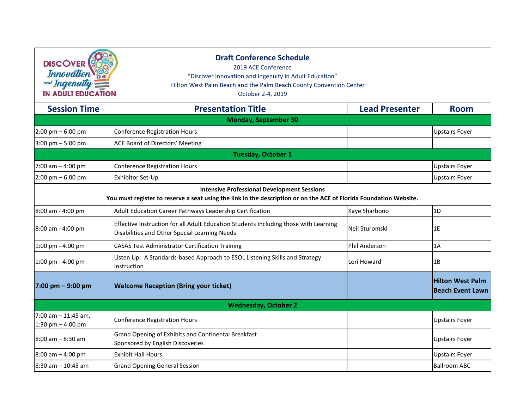| <b>DISCOVER</b><br>Innovation<br>and Ingenuity:<br><b>IN ADULT EDUCATION</b> | <b>Draft Conference Schedule</b><br>2019 ACE Conference<br>"Discover Innovation and Ingenuity in Adult Education"<br>Hilton West Palm Beach and the Palm Beach County Convention Center<br>October 2-4, 2019 |                       |                                                    |
|------------------------------------------------------------------------------|--------------------------------------------------------------------------------------------------------------------------------------------------------------------------------------------------------------|-----------------------|----------------------------------------------------|
| <b>Session Time</b>                                                          | <b>Presentation Title</b>                                                                                                                                                                                    | <b>Lead Presenter</b> | <b>Room</b>                                        |
|                                                                              | <b>Monday, September 30</b>                                                                                                                                                                                  |                       |                                                    |
| $2:00 \text{ pm} - 6:00 \text{ pm}$                                          | <b>Conference Registration Hours</b>                                                                                                                                                                         |                       | <b>Upstairs Foyer</b>                              |
| $3:00 \text{ pm} - 5:00 \text{ pm}$                                          | ACE Board of Directors' Meeting                                                                                                                                                                              |                       |                                                    |
|                                                                              | Tuesday, October 1                                                                                                                                                                                           |                       |                                                    |
| 7:00 am $-$ 4:00 pm                                                          | <b>Conference Registration Hours</b>                                                                                                                                                                         |                       | <b>Upstairs Foyer</b>                              |
| $2:00 \text{ pm} - 6:00 \text{ pm}$                                          | Exhibitor Set-Up                                                                                                                                                                                             |                       | <b>Upstairs Foyer</b>                              |
|                                                                              | <b>Intensive Professional Development Sessions</b><br>You must register to reserve a seat using the link in the description or on the ACE of Florida Foundation Website.                                     |                       |                                                    |
| 8:00 am - 4:00 pm                                                            | Adult Education Career Pathways Leadership Certification                                                                                                                                                     | Kaye Sharbono         | 1D                                                 |
| 8:00 am - 4:00 pm                                                            | Effective Instruction for all Adult Education Students Including those with Learning<br>Disabilities and Other Special Learning Needs                                                                        | Neil Sturomski        | 1E                                                 |
| 1:00 pm - 4:00 pm                                                            | <b>CASAS Test Administrator Certification Training</b>                                                                                                                                                       | Phil Anderson         | 1A                                                 |
| $1:00$ pm - 4:00 pm                                                          | Listen Up: A Standards-based Approach to ESOL Listening Skills and Strategy<br>Instruction                                                                                                                   | Lori Howard           | 1B                                                 |
| 7:00 pm - 9:00 pm                                                            | <b>Welcome Reception (Bring your ticket)</b>                                                                                                                                                                 |                       | <b>Hilton West Palm</b><br><b>Beach Event Lawn</b> |
|                                                                              | <b>Wednesday, October 2</b>                                                                                                                                                                                  |                       |                                                    |
| $7:00$ am $-11:45$ am,<br>1:30 pm $-$ 4:00 pm                                | <b>Conference Registration Hours</b>                                                                                                                                                                         |                       | <b>Upstairs Foyer</b>                              |
| 8:00 am - 8:30 am                                                            | Grand Opening of Exhibits and Continental Breakfast<br>Sponsored by English Discoveries                                                                                                                      |                       | <b>Upstairs Foyer</b>                              |
| $8:00$ am $-4:00$ pm                                                         | <b>Exhibit Hall Hours</b>                                                                                                                                                                                    |                       | <b>Upstairs Foyer</b>                              |
| $8:30$ am $- 10:45$ am                                                       | <b>Grand Opening General Session</b>                                                                                                                                                                         |                       | <b>Ballroom ABC</b>                                |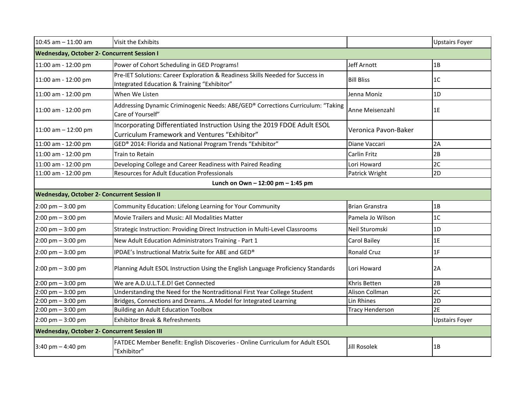| 10:45 am - 11:00 am                                 | Visit the Exhibits                                                                                                            |                        | <b>Upstairs Foyer</b> |
|-----------------------------------------------------|-------------------------------------------------------------------------------------------------------------------------------|------------------------|-----------------------|
| <b>Wednesday, October 2- Concurrent Session I</b>   |                                                                                                                               |                        |                       |
| 11:00 am - 12:00 pm                                 | Power of Cohort Scheduling in GED Programs!                                                                                   | Jeff Arnott            | 1B                    |
| 11:00 am - 12:00 pm                                 | Pre-IET Solutions: Career Exploration & Readiness Skills Needed for Success in<br>Integrated Education & Training "Exhibitor" | <b>Bill Bliss</b>      | 1 <sup>C</sup>        |
| 11:00 am - 12:00 pm                                 | When We Listen                                                                                                                | Jenna Moniz            | 1D                    |
| 11:00 am - 12:00 pm                                 | Addressing Dynamic Criminogenic Needs: ABE/GED® Corrections Curriculum: "Taking<br>Care of Yourself"                          | Anne Meisenzahl        | 1E                    |
| $11:00$ am $- 12:00$ pm                             | Incorporating Differentiated Instruction Using the 2019 FDOE Adult ESOL<br>Curriculum Framework and Ventures "Exhibitor"      | Veronica Pavon-Baker   |                       |
| 11:00 am - 12:00 pm                                 | GED® 2014: Florida and National Program Trends "Exhibitor"                                                                    | Diane Vaccari          | 2A                    |
| 11:00 am - 12:00 pm                                 | Train to Retain                                                                                                               | <b>Carlin Fritz</b>    | 2B                    |
| 11:00 am - 12:00 pm                                 | Developing College and Career Readiness with Paired Reading                                                                   | Lori Howard            | 2C                    |
| 11:00 am - 12:00 pm                                 | <b>Resources for Adult Education Professionals</b>                                                                            | Patrick Wright         | 2D                    |
|                                                     | Lunch on Own - 12:00 pm - 1:45 pm                                                                                             |                        |                       |
| <b>Wednesday, October 2- Concurrent Session II</b>  |                                                                                                                               |                        |                       |
| $2:00$ pm $-3:00$ pm                                | Community Education: Lifelong Learning for Your Community                                                                     | <b>Brian Granstra</b>  | 1B                    |
| $2:00 \text{ pm} - 3:00 \text{ pm}$                 | Movie Trailers and Music: All Modalities Matter                                                                               | Pamela Jo Wilson       | 1 <sup>C</sup>        |
| $2:00$ pm $-3:00$ pm                                | Strategic Instruction: Providing Direct Instruction in Multi-Level Classrooms                                                 | Neil Sturomski         | 1D                    |
| $2:00$ pm $-3:00$ pm                                | New Adult Education Administrators Training - Part 1                                                                          | Carol Bailey           | 1E                    |
| $2:00 \text{ pm} - 3:00 \text{ pm}$                 | IPDAE's Instructional Matrix Suite for ABE and GED®                                                                           | <b>Ronald Cruz</b>     | 1F                    |
| $2:00 \text{ pm} - 3:00 \text{ pm}$                 | Planning Adult ESOL Instruction Using the English Language Proficiency Standards                                              | Lori Howard            | 2A                    |
| $2:00$ pm $-3:00$ pm                                | We are A.D.U.L.T.E.D! Get Connected                                                                                           | Khris Betten           | 2B                    |
| $2:00 \text{ pm} - 3:00 \text{ pm}$                 | Understanding the Need for the Nontraditional First Year College Student                                                      | Alison Collman         | 2C                    |
| $2:00 \text{ pm} - 3:00 \text{ pm}$                 | Bridges, Connections and DreamsA Model for Integrated Learning                                                                | Lin Rhines             | 2D                    |
| 2:00 pm - 3:00 pm                                   | <b>Building an Adult Education Toolbox</b>                                                                                    | <b>Tracy Henderson</b> | 2E                    |
| $2:00 \text{ pm} - 3:00 \text{ pm}$                 | <b>Exhibitor Break &amp; Refreshments</b>                                                                                     |                        | <b>Upstairs Foyer</b> |
| <b>Wednesday, October 2- Concurrent Session III</b> |                                                                                                                               |                        |                       |
| $3:40 \text{ pm} - 4:40 \text{ pm}$                 | FATDEC Member Benefit: English Discoveries - Online Curriculum for Adult ESOL<br>"Exhibitor"                                  | <b>Jill Rosolek</b>    | 1B                    |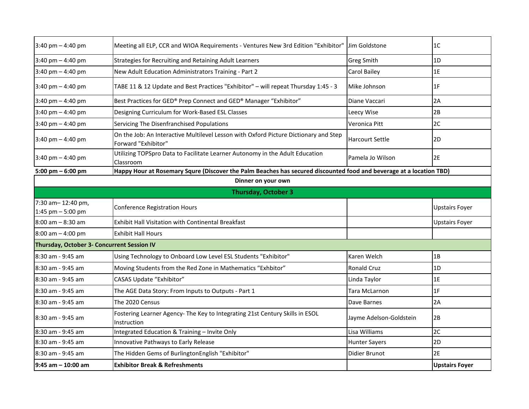| $3:40 \text{ pm} - 4:40 \text{ pm}$        | Meeting all ELP, CCR and WIOA Requirements - Ventures New 3rd Edition "Exhibitor"                                   | Jim Goldstone           | 1C                    |
|--------------------------------------------|---------------------------------------------------------------------------------------------------------------------|-------------------------|-----------------------|
| $3:40$ pm $-4:40$ pm                       | Strategies for Recruiting and Retaining Adult Learners                                                              | <b>Greg Smith</b>       | 1D                    |
| $3:40 \text{ pm} - 4:40 \text{ pm}$        | New Adult Education Administrators Training - Part 2                                                                | <b>Carol Bailey</b>     | 1E                    |
| $3:40 \text{ pm} - 4:40 \text{ pm}$        | TABE 11 & 12 Update and Best Practices "Exhibitor" - will repeat Thursday 1:45 - 3                                  | Mike Johnson            | 1F                    |
| $3:40 \text{ pm} - 4:40 \text{ pm}$        | Best Practices for GED® Prep Connect and GED® Manager "Exhibitor"                                                   | Diane Vaccari           | 2A                    |
| $3:40 \text{ pm} - 4:40 \text{ pm}$        | Designing Curriculum for Work-Based ESL Classes                                                                     | Leecy Wise              | 2B                    |
| $3:40 \text{ pm} - 4:40 \text{ pm}$        | Servicing The Disenfranchised Populations                                                                           | Veronica Pitt           | 2C                    |
| $3:40 \text{ pm} - 4:40 \text{ pm}$        | On the Job: An Interactive Multilevel Lesson with Oxford Picture Dictionary and Step<br>Forward "Exhibitor"         | <b>Harcourt Settle</b>  | 2D                    |
| $3:40 \text{ pm} - 4:40 \text{ pm}$        | Utilizing TOPSpro Data to Facilitate Learner Autonomy in the Adult Education<br>Classroom                           | Pamela Jo Wilson        | 2E                    |
| 5:00 pm $-$ 6:00 pm                        | Happy Hour at Rosemary Squre (Discover the Palm Beaches has secured discounted food and beverage at a location TBD) |                         |                       |
|                                            | Dinner on your own                                                                                                  |                         |                       |
|                                            | <b>Thursday, October 3</b>                                                                                          |                         |                       |
| 7:30 am-12:40 pm,<br>1:45 pm $-5:00$ pm    | <b>Conference Registration Hours</b>                                                                                |                         | <b>Upstairs Foyer</b> |
| 8:00 am - 8:30 am                          | Exhibit Hall Visitation with Continental Breakfast                                                                  |                         | <b>Upstairs Foyer</b> |
| $8:00$ am $-4:00$ pm                       | <b>Exhibit Hall Hours</b>                                                                                           |                         |                       |
| Thursday, October 3- Concurrent Session IV |                                                                                                                     |                         |                       |
| 8:30 am - 9:45 am                          | Using Technology to Onboard Low Level ESL Students "Exhibitor"                                                      | Karen Welch             | 1B                    |
| 8:30 am - 9:45 am                          | Moving Students from the Red Zone in Mathematics "Exhbitor"                                                         | <b>Ronald Cruz</b>      | 1D                    |
| 8:30 am - 9:45 am                          | <b>CASAS Update "Exhibitor"</b>                                                                                     | Linda Taylor            | 1E                    |
| 8:30 am - 9:45 am                          | The AGE Data Story: From Inputs to Outputs - Part 1                                                                 | Tara McLarnon           | 1F                    |
| 8:30 am - 9:45 am                          | The 2020 Census                                                                                                     | Dave Barnes             | 2A                    |
| 8:30 am - 9:45 am                          | Fostering Learner Agency- The Key to Integrating 21st Century Skills in ESOL<br>Instruction                         | Jayme Adelson-Goldstein | 2B                    |
| 8:30 am - 9:45 am                          | Integrated Education & Training - Invite Only                                                                       | Lisa Williams           | 2C                    |
| 8:30 am - 9:45 am                          | Innovative Pathways to Early Release                                                                                | <b>Hunter Sayers</b>    | 2D                    |
| 8:30 am - 9:45 am                          | The Hidden Gems of BurlingtonEnglish "Exhibitor"                                                                    | Didier Brunot           | 2E                    |
| $9:45$ am $-10:00$ am                      | <b>Exhibitor Break &amp; Refreshments</b>                                                                           |                         | <b>Upstairs Foyer</b> |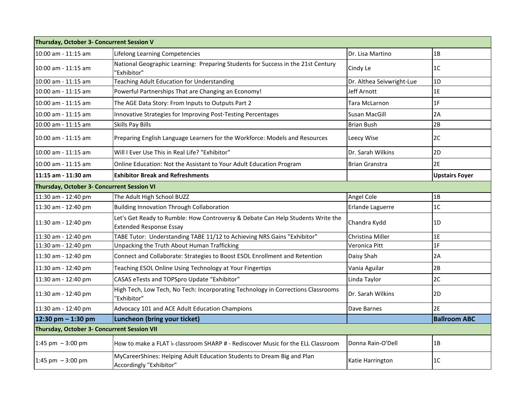| Thursday, October 3- Concurrent Session V   |                                                                                                                   |                           |                       |
|---------------------------------------------|-------------------------------------------------------------------------------------------------------------------|---------------------------|-----------------------|
| 10:00 am - 11:15 am                         | Lifelong Learning Competencies                                                                                    | Dr. Lisa Martino          | 1B                    |
| 10:00 am - 11:15 am                         | National Geographic Learning: Preparing Students for Success in the 21st Century<br>'Exhibitor"                   | Cindy Le                  | 1C                    |
| 10:00 am - 11:15 am                         | Teaching Adult Education for Understanding                                                                        | Dr. Althea Seivwright-Lue | 1D                    |
| 10:00 am - 11:15 am                         | Powerful Partnerships That are Changing an Economy!                                                               | Jeff Arnott               | 1E                    |
| 10:00 am - 11:15 am                         | The AGE Data Story: From Inputs to Outputs Part 2                                                                 | Tara McLarnon             | 1F                    |
| 10:00 am - 11:15 am                         | Innovative Strategies for Improving Post-Testing Percentages                                                      | Susan MacGill             | 2A                    |
| 10:00 am - 11:15 am                         | Skills Pay Bills                                                                                                  | <b>Brian Bush</b>         | 2B                    |
| 10:00 am - 11:15 am                         | Preparing English Language Learners for the Workforce: Models and Resources                                       | Leecy Wise                | 2C                    |
| 10:00 am - 11:15 am                         | Will I Ever Use This in Real Life? "Exhibitor"                                                                    | Dr. Sarah Wilkins         | 2D                    |
| 10:00 am - 11:15 am                         | Online Education: Not the Assistant to Your Adult Education Program                                               | <b>Brian Granstra</b>     | 2E                    |
| 11:15 am - 11:30 am                         | <b>Exhibitor Break and Refreshments</b>                                                                           |                           | <b>Upstairs Foyer</b> |
| Thursday, October 3- Concurrent Session VI  |                                                                                                                   |                           |                       |
| 11:30 am - 12:40 pm                         | The Adult High School BUZZ                                                                                        | Angel Cole                | 1B                    |
| 11:30 am - 12:40 pm                         | Building Innovation Through Collaboration                                                                         | <b>Erlande Laguerre</b>   | 1C                    |
| 11:30 am - 12:40 pm                         | Let's Get Ready to Rumble: How Controversy & Debate Can Help Students Write the<br><b>Extended Response Essay</b> | Chandra Kydd              | 1D                    |
| 11:30 am - 12:40 pm                         | TABE Tutor: Understanding TABE 11/12 to Achieving NRS Gains "Exhibitor"                                           | Christina Miller          | 1E                    |
| 11:30 am - 12:40 pm                         | Unpacking the Truth About Human Trafficking                                                                       | Veronica Pitt             | 1 <sub>F</sub>        |
| 11:30 am - 12:40 pm                         | Connect and Collaborate: Strategies to Boost ESOL Enrollment and Retention                                        | Daisy Shah                | 2A                    |
| 11:30 am - 12:40 pm                         | Teaching ESOL Online Using Technology at Your Fingertips                                                          | Vania Aguilar             | 2B                    |
| 11:30 am - 12:40 pm                         | CASAS eTests and TOPSpro Update "Exhibitor"                                                                       | Linda Taylor              | 2C                    |
| 11:30 am - 12:40 pm                         | High Tech, Low Tech, No Tech: Incorporating Technology in Corrections Classrooms<br>'Exhibitor"                   | Dr. Sarah Wilkins         | 2D                    |
| 11:30 am - 12:40 pm                         | Advocacy 101 and ACE Adult Education Champions                                                                    | Dave Barnes               | 2E                    |
| 12:30 pm $-$ 1:30 pm                        | Luncheon (bring your ticket)                                                                                      |                           | <b>Ballroom ABC</b>   |
| Thursday, October 3- Concurrent Session VII |                                                                                                                   |                           |                       |
| 1:45 pm $-3:00$ pm                          | How to make a FLAT b classroom SHARP # - Rediscover Music for the ELL Classroom                                   | Donna Rain-O'Dell         | 1B                    |
| 1:45 pm $-3:00$ pm                          | MyCareerShines: Helping Adult Education Students to Dream Big and Plan<br>Accordingly "Exhibitor"                 | Katie Harrington          | 1C                    |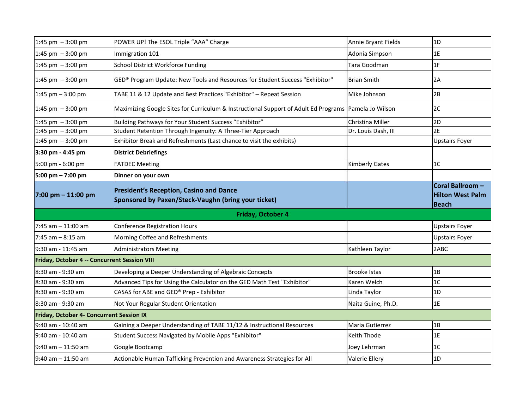| 1:45 pm $-3:00$ pm                              | POWER UP! The ESOL Triple "AAA" Charge                                                                | Annie Bryant Fields   | 1D                                          |
|-------------------------------------------------|-------------------------------------------------------------------------------------------------------|-----------------------|---------------------------------------------|
| 1:45 pm $-3:00$ pm                              | Immigration 101                                                                                       | Adonia Simpson        | 1E                                          |
| 1:45 pm $-3:00$ pm                              | School District Workforce Funding                                                                     | Tara Goodman          | 1F                                          |
| 1:45 pm $-3:00$ pm                              | GED® Program Update: New Tools and Resources for Student Success "Exhibitor"                          | <b>Brian Smith</b>    | 2A                                          |
| 1:45 pm $-$ 3:00 pm                             | TABE 11 & 12 Update and Best Practices "Exhibitor" - Repeat Session                                   | Mike Johnson          | 2B                                          |
| 1:45 pm $-3:00$ pm                              | Maximizing Google Sites for Curriculum & Instructional Support of Adult Ed Programs Pamela Jo Wilson  |                       | 2C                                          |
| 1:45 pm $-3:00$ pm                              | Building Pathways for Your Student Success "Exhibitor"                                                | Christina Miller      | 2D                                          |
| 1:45 pm $-3:00$ pm                              | Student Retention Through Ingenuity: A Three-Tier Approach                                            | Dr. Louis Dash, III   | 2E                                          |
| 1:45 pm $-3:00$ pm                              | Exhibitor Break and Refreshments (Last chance to visit the exhibits)                                  |                       | <b>Upstairs Foyer</b>                       |
| 3:30 pm - 4:45 pm                               | <b>District Debriefings</b>                                                                           |                       |                                             |
| 5:00 pm - 6:00 pm                               | <b>FATDEC Meeting</b>                                                                                 | <b>Kimberly Gates</b> | 1 <sup>C</sup>                              |
| 5:00 pm - 7:00 pm                               | Dinner on your own                                                                                    |                       |                                             |
| $7:00$ pm $-11:00$ pm                           | <b>President's Reception, Casino and Dance</b><br>Sponsored by Paxen/Steck-Vaughn (bring your ticket) |                       | Coral Ballroom -<br><b>Hilton West Palm</b> |
|                                                 |                                                                                                       |                       | <b>Beach</b>                                |
|                                                 | Friday, October 4                                                                                     |                       |                                             |
| $7:45$ am $-11:00$ am                           | <b>Conference Registration Hours</b>                                                                  |                       | <b>Upstairs Foyer</b>                       |
| $7:45$ am $-8:15$ am                            | Morning Coffee and Refreshments                                                                       |                       | <b>Upstairs Foyer</b>                       |
| 9:30 am - 11:45 am                              | <b>Administrators Meeting</b>                                                                         | Kathleen Taylor       | 2ABC                                        |
| Friday, October 4 -- Concurrent Session VIII    |                                                                                                       |                       |                                             |
| 8:30 am - 9:30 am                               | Developing a Deeper Understanding of Algebraic Concepts                                               | <b>Brooke Istas</b>   | 1B                                          |
| 8:30 am - 9:30 am                               | Advanced Tips for Using the Calculator on the GED Math Test "Exhibitor"                               | Karen Welch           | 1C                                          |
| 8:30 am - 9:30 am                               | CASAS for ABE and GED® Prep - Exhibitor                                                               | Linda Taylor          | 1D                                          |
| 8:30 am - 9:30 am                               | Not Your Regular Student Orientation                                                                  | Naita Guine, Ph.D.    | 1E                                          |
| <b>Friday, October 4- Concurrent Session IX</b> |                                                                                                       |                       |                                             |
| 9:40 am - 10:40 am                              | Gaining a Deeper Understanding of TABE 11/12 & Instructional Resources                                | Maria Gutierrez       | 1B                                          |
| 9:40 am - 10:40 am                              | Student Success Navigated by Mobile Apps "Exhibitor"                                                  | Keith Thode           | 1E                                          |
| $9:40$ am $-11:50$ am                           | Google Bootcamp                                                                                       | Joey Lehrman          | 1 <sub>C</sub>                              |